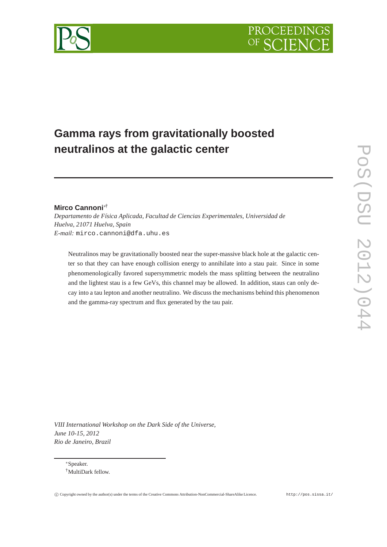

# **Gamma rays from gravitationally boosted neutralinos at the galactic center**

## **Mirco Cannoni**∗†

*Departamento de Física Aplicada, Facultad de Ciencias Experimentales, Universidad de Huelva, 21071 Huelva, Spain E-mail:* mirco.cannoni@dfa.uhu.es

Neutralinos may be gravitationally boosted near the super-massive black hole at the galactic center so that they can have enough collision energy to annihilate into a stau pair. Since in some phenomenologically favored supersymmetric models the mass splitting between the neutralino and the lightest stau is a few GeVs, this channel may be allowed. In addition, staus can only decay into a tau lepton and another neutralino. We discuss the mechanisms behind this phenomenon and the gamma-ray spectrum and flux generated by the tau pair.

*VIII International Workshop on the Dark Side of the Universe, June 10-15, 2012 Rio de Janeiro, Brazil*

∗Speaker. †MultiDark fellow.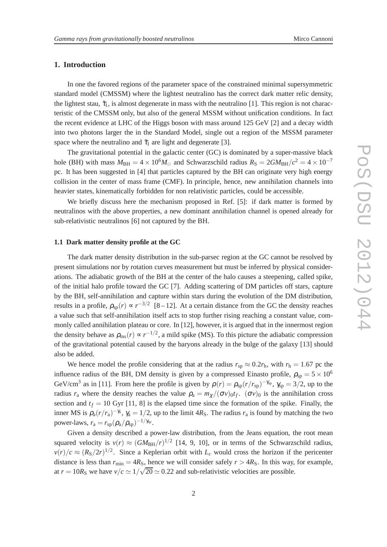#### **1. Introduction**

In one the favored regions of the parameter space of the constrained minimal supersymmetric standard model (CMSSM) where the lightest neutralino has the correct dark matter relic density, the lightest stau,  $\tilde{\tau}_1$ , is almost degenerate in mass with the neutralino [1]. This region is not characteristic of the CMSSM only, but also of the general MSSM without unification conditions. In fact the recent evidence at LHC of the Higgs boson with mass around 125 GeV [2] and a decay width into two photons larger the in the Standard Model, single out a region of the MSSM parameter space where the neutralino and  $\tilde{\tau}_1$  are light and degenerate [3].

The gravitational potential in the galactic center (GC) is dominated by a super-massive black hole (BH) with mass  $M_{BH} = 4 \times 10^6 M_{\odot}$  and Schwarzschild radius  $R_S = 2GM_{BH}/c^2 = 4 \times 10^{-7}$ pc. It has been suggested in [4] that particles captured by the BH can originate very high energy collision in the center of mass frame (CMF). In principle, hence, new annihilation channels into heavier states, kinematically forbidden for non relativistic particles, could be accessible.

We briefly discuss here the mechanism proposed in Ref. [5]: if dark matter is formed by neutralinos with the above properties, a new dominant annihilation channel is opened already for sub-relativistic neutralinos [6] not captured by the BH.

#### **1.1 Dark matter density profile at the GC**

The dark matter density distribution in the sub-parsec region at the GC cannot be resolved by present simulations nor by rotation curves measurement but must be inferred by physical considerations. The adiabatic growth of the BH at the center of the halo causes a steepening, called spike, of the initial halo profile toward the GC [7]. Adding scattering of DM particles off stars, capture by the BH, self-annihilation and capture within stars during the evolution of the DM distribution, results in a profile,  $\rho_{sp}(r) \propto r^{-3/2}$  [8 – 12]. At a certain distance from the GC the density reaches a value such that self-annihilation itself acts to stop further rising reaching a constant value, commonly called annihilation plateau or core. In [12], however, it is argued that in the innermost region the density behave as  $\rho_{\rm ms}(r) \propto r^{-1/2}$ , a mild spike (MS). To this picture the adiabatic compression of the gravitational potential caused by the baryons already in the bulge of the galaxy [13] should also be added.

We hence model the profile considering that at the radius  $r_{sp} \approx 0.2r_h$ , with  $r_h = 1.67$  pc the influence radius of the BH, DM density is given by a compressed Einasto profile,  $\rho_{\rm{sp}} = 5 \times 10^6$ GeV/cm<sup>3</sup> as in [11]. From here the profile is given by  $\rho(r) = \rho_{sp}(r/r_{sp})^{-\gamma_{sp}}$ ,  $\gamma_{sp} = 3/2$ , up to the radius  $r_a$  where the density reaches the value  $\rho_a = m_\chi/(\sigma v)_{0} t_f$ .  $(\sigma v)_0$  is the annihilation cross section and  $t_f = 10$  Gyr [11, 8] is the elapsed time since the formation of the spike. Finally, the inner MS is  $\rho_a(r/r_a)^{-\gamma_a}$ ,  $\gamma_a = 1/2$ , up to the limit 4*R<sub>S</sub>*. The radius  $r_a$  is found by matching the two power-laws,  $r_a = r_{sp} (\rho_a/\rho_{sp})^{-1/\gamma_{sp}}$ .

Given a density described a power-law distribution, from the Jeans equation, the root mean squared velocity is  $v(r) \approx (GM_{BH}/r)^{1/2}$  [14, 9, 10], or in terms of the Schwarzschild radius,  $\nu(r)/c \approx (R_S/2r)^{1/2}$ . Since a Keplerian orbit with  $L_c$  would cross the horizon if the pericenter distance is less than  $r_{\text{min}} = 4R_{\text{S}}$ , hence we will consider safely  $r > 4R_{\text{S}}$ . In this way, for example, at  $r = 10R_S$  we have  $v/c \approx 1/\sqrt{20} \approx 0.22$  and sub-relativistic velocities are possible.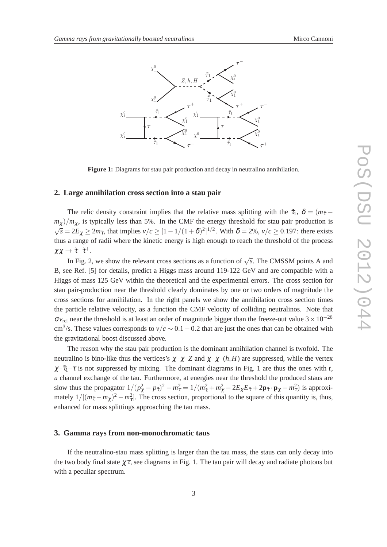

**Figure 1:** Diagrams for stau pair production and decay in neutralino annihilation.

#### **2. Large annihilation cross section into a stau pair**

The relic density constraint implies that the relative mass splitting with the  $\tilde{\tau}_1$ ,  $\delta = (m_{\tilde{\tau}}$  $m_{\chi}$ )/ $m_{\chi}$ , is typically less than 5%. In the CMF the energy threshold for stau pair production is  $\sqrt{s} = 2E_\chi \ge 2m_{\tilde{\tau}}$ , that implies  $v/c \ge [1 - 1/(1 + \delta)^2]^{1/2}$ . With  $\delta = 2\%, v/c \ge 0.197$ : there exists thus a range of radii where the kinetic energy is high enough to reach the threshold of the process  $\chi\chi\to\tilde\tau^-\tilde\tau^+.$ 

In Fig. 2, we show the relevant cross sections as a function of  $\sqrt{s}$ . The CMSSM points A and B, see Ref. [5] for details, predict a Higgs mass around 119-122 GeV and are compatible with a Higgs of mass 125 GeV within the theoretical and the experimental errors. The cross section for stau pair-production near the threshold clearly dominates by one or two orders of magnitude the cross sections for annihilation. In the right panels we show the annihilation cross section times the particle relative velocity, as a function the CMF velocity of colliding neutralinos. Note that  $\sigma v_{\text{rel}}$  near the threshold is at least an order of magnitude bigger than the freeze-out value 3 × 10<sup>-26</sup> cm<sup>3</sup>/s. These values corresponds to  $v/c \sim 0.1 - 0.2$  that are just the ones that can be obtained with the gravitational boost discussed above.

The reason why the stau pair production is the dominant annihilation channel is twofold. The neutralino is bino-like thus the vertices's  $\chi - \chi - Z$  and  $\chi - \chi - (h, H)$  are suppressed, while the vertex  $\chi-\tilde{\tau}_1-\tau$  is not suppressed by mixing. The dominant diagrams in Fig. 1 are thus the ones with *t*, *u* channel exchange of the tau. Furthermore, at energies near the threshold the produced staus are slow thus the propagator  $1/(p_\chi^2 - p_{\tilde{\tau}})^2 - m_{\tilde{\tau}}^2 = 1/(m_{\tilde{\tau}}^2 + m_\chi^2 - 2E_\chi E_{\tilde{\tau}} + 2\mathbf{p}_{\tilde{\tau}} \cdot \mathbf{p}_\chi - m_{\tilde{\tau}}^2)$  is approximately  $1/[(m_{\tilde{\tau}} - m_{\chi})^2 - m_{\tau}^2]$ . The cross section, proportional to the square of this quantity is, thus, enhanced for mass splittings approaching the tau mass.

#### **3. Gamma rays from non-monochromatic taus**

If the neutralino-stau mass splitting is larger than the tau mass, the staus can only decay into the two body final state  $\chi \tau$ , see diagrams in Fig. 1. The tau pair will decay and radiate photons but with a peculiar spectrum.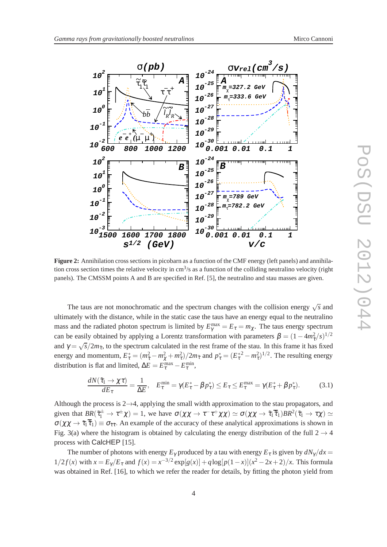

**Figure 2:** Annihilation cross sections in picobarn as a function of the CMF energy (left panels) and annihilation cross section times the relative velocity in  $\text{cm}^3\text{/s}$  as a function of the colliding neutralino velocity (right panels). The CMSSM points A and B are specified in Ref. [5], the neutralino and stau masses are given.

The taus are not monochromatic and the spectrum changes with the collision energy  $\sqrt{s}$  and ultimately with the distance, while in the static case the taus have an energy equal to the neutralino mass and the radiated photon spectrum is limited by  $E_{\gamma}^{\text{max}} = E_{\tau} = m_{\chi}$ . The taus energy spectrum can be easily obtained by applying a Lorentz transformation with parameters  $\beta = (1 - 4m_{\tilde{\tau}}^2/s)^{1/2}$ and  $\gamma = \sqrt{s}/2m_{\tilde{\tau}}$ , to the spectrum calculated in the rest frame of the stau. In this frame it has fixed energy and momentum,  $E^*_\tau = (m^2_{\tilde{\tau}} - m^2_{\chi} + m^2_{\tau})/2m_{\tilde{\tau}}$  and  $p^*_\tau = (E^{*2}_{\tau} - m^2_{\tau})^{1/2}$ . The resulting energy distribution is flat and limited,  $\Delta E = E_{\tau}^{\text{max}} - E_{\tau}^{\text{min}}$ ,

$$
\frac{dN(\tilde{\tau}_1 \to \chi \tau)}{dE_{\tau}} = \frac{1}{\Delta E}, \quad E_{\tau}^{\min} = \gamma (E_{\tau}^* - \beta p_{\tau}^*) \le E_{\tau} \le E_{\tau}^{\max} = \gamma (E_{\tau}^* + \beta p_{\tau}^*). \tag{3.1}
$$

Although the process is 2→4, applying the small width approximation to the stau propagators, and given that  $BR(\tilde{\tau}_1^{\pm} \to \tau^{\pm} \chi) = 1$ , we have  $\sigma(\chi \chi \to \tau^- \tau^+ \chi \chi) \simeq \sigma(\chi \chi \to \tilde{\tau}_1 \overline{\tilde{\tau}}_1) BR^2(\tilde{\tau}_1 \to \tau \chi) \simeq$  $\sigma(\chi\chi \to \tilde{\tau}_1 \overline{\tilde{\tau}}_1) \equiv \sigma_{\tilde{\tau}\tilde{\tau}}$ . An example of the accuracy of these analytical approximations is shown in Fig. 3(a) where the histogram is obtained by calculating the energy distribution of the full  $2 \rightarrow 4$ process with CalcHEP [15].

The number of photons with energy  $E_\gamma$  produced by a tau with energy  $E_\tau$  is given by  $dN_\gamma/dx =$  $1/2 f(x)$  with  $x = E_\gamma / E_\tau$  and  $f(x) = x^{-3/2} \exp[g(x)] + q \log[p(1-x)](x^2 - 2x + 2)/x$ . This formula was obtained in Ref. [16], to which we refer the reader for details, by fitting the photon yield from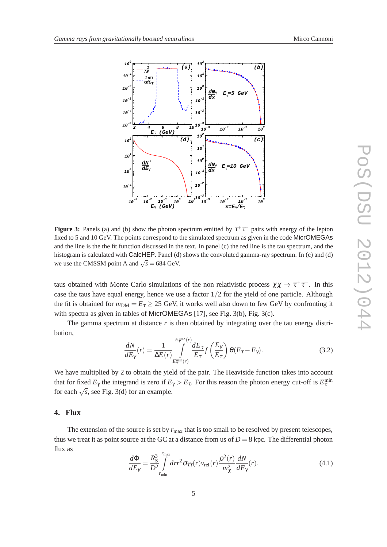

**Figure 3:** Panels (a) and (b) show the photon spectrum emitted by  $\tau^+\tau^-$  pairs with energy of the lepton fixed to 5 and 10 GeV. The points correspond to the simulated spectrum as given in the code MicrOMEGAs and the line is the the fit function discussed in the text. In panel (c) the red line is the tau spectrum, and the histogram is calculated with CalcHEP. Panel (d) shows the convoluted gamma-ray spectrum. In (c) and (d) we use the CMSSM point A and  $\sqrt{s} = 684$  GeV.

taus obtained with Monte Carlo simulations of the non relativistic process  $\chi\chi \to \tau^+\tau^-$ . In this case the taus have equal energy, hence we use a factor 1/2 for the yield of one particle. Although the fit is obtained for  $m_{DM} = E_{\tau} \ge 25$  GeV, it works well also down to few GeV by confronting it with spectra as given in tables of MicrOMEGAs [17], see Fig. 3(b), Fig. 3(c).

The gamma spectrum at distance r is then obtained by integrating over the tau energy distribution,

$$
\frac{dN}{dE_{\gamma}}(r) = \frac{1}{\Delta E(r)} \int_{E_{\tau}^{\min}(r)}^{E_{\tau}^{\max}(r)} \frac{dE_{\tau}}{E_{\tau}} f\left(\frac{E_{\gamma}}{E_{\tau}}\right) \theta(E_{\tau} - E_{\gamma}). \tag{3.2}
$$

We have multiplied by 2 to obtain the yield of the pair. The Heaviside function takes into account that for fixed  $E_\gamma$  the integrand is zero if  $E_\gamma > E_\tau$ . For this reason the photon energy cut-off is  $E_\tau^{\text{min}}$ for each  $\sqrt{s}$ , see Fig. 3(d) for an example.

### **4. Flux**

The extension of the source is set by  $r_{\text{max}}$  that is too small to be resolved by present telescopes, thus we treat it as point source at the GC at a distance from us of  $D = 8$  kpc. The differential photon flux as

$$
\frac{d\Phi}{dE_{\gamma}} = \frac{R_{\rm S}^3}{D^2} \int_{r_{\rm min}}^{r_{\rm max}} dr r^2 \sigma_{\tilde{\tau}\tilde{\tau}}(r) v_{\rm rel}(r) \frac{\rho^2(r)}{m_{\chi}^2} \frac{dN}{dE_{\gamma}}(r). \tag{4.1}
$$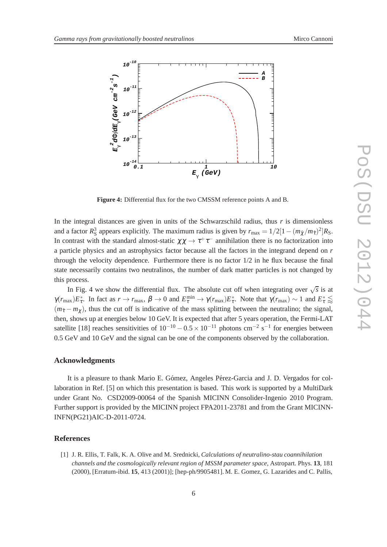

**Figure 4:** Differential flux for the two CMSSM reference points A and B.

In the integral distances are given in units of the Schwarzschild radius, thus  $r$  is dimensionless and a factor  $R_S^3$  appears explicitly. The maximum radius is given by  $r_{\text{max}} = 1/2[1 - (m_{\tilde{\chi}}/m_{\tilde{\tau}})^2]R_S$ . In contrast with the standard almost-static  $\chi\chi \to \tau^+\tau^-$  annihilation there is no factorization into a particle physics and an astrophysics factor because all the factors in the integrand depend on *r* through the velocity dependence. Furthermore there is no factor  $1/2$  in he flux because the final state necessarily contains two neutralinos, the number of dark matter particles is not changed by this process.

In Fig. 4 we show the differential flux. The absolute cut off when integrating over  $\sqrt{s}$  is at  $\gamma(r_{\text{max}})E_{\tau}^*$ . In fact as  $r \to r_{\text{max}}$ ,  $\beta \to 0$  and  $E_{\tau}^{\text{min}} \to \gamma(r_{\text{max}})E_{\tau}^*$ . Note that  $\gamma(r_{\text{max}}) \sim 1$  and  $E_{\tau}^* \lesssim$  $(m_{\tilde{\tau}} - m_{\gamma})$ , thus the cut off is indicative of the mass splitting between the neutralino; the signal, then, shows up at energies below 10 GeV. It is expected that after 5 years operation, the Fermi-LAT satellite [18] reaches sensitivities of  $10^{-10} - 0.5 \times 10^{-11}$  photons cm<sup>-2</sup> s<sup>-1</sup> for energies between 0.5 GeV and 10 GeV and the signal can be one of the components observed by the collaboration.

#### **Acknowledgments**

It is a pleasure to thank Mario E. Gómez, Angeles Pérez-Garcia and J. D. Vergados for collaboration in Ref. [5] on which this presentation is based. This work is supported by a MultiDark under Grant No. CSD2009-00064 of the Spanish MICINN Consolider-Ingenio 2010 Program. Further support is provided by the MICINN project FPA2011-23781 and from the Grant MICINN-INFN(PG21)AIC-D-2011-0724.

#### **References**

[1] J. R. Ellis, T. Falk, K. A. Olive and M. Srednicki, *Calculations of neutralino-stau coannihilation channels and the cosmologically relevant region of MSSM parameter space*, Astropart. Phys. **13**, 181 (2000), [Erratum-ibid. **15**, 413 (2001)]; [hep-ph/9905481]. M. E. Gomez, G. Lazarides and C. Pallis,